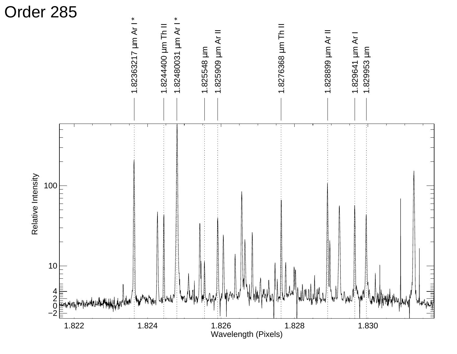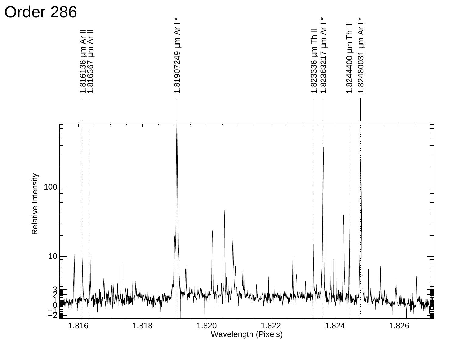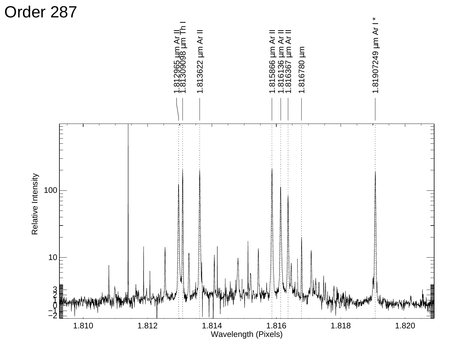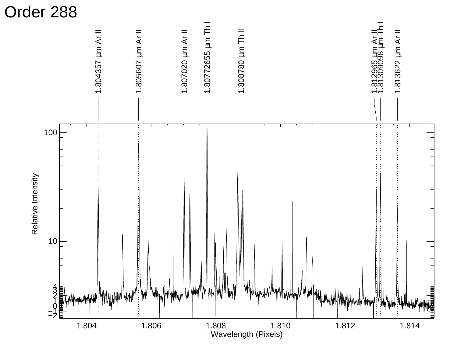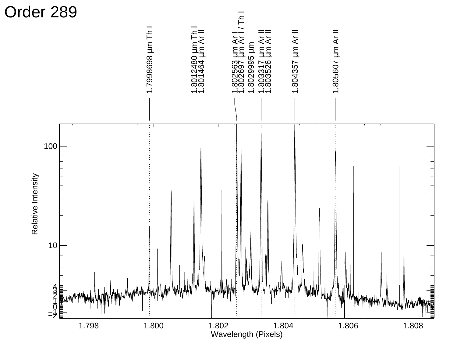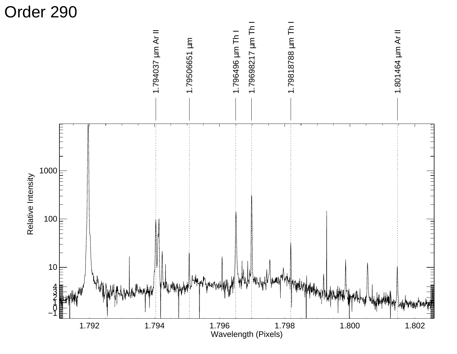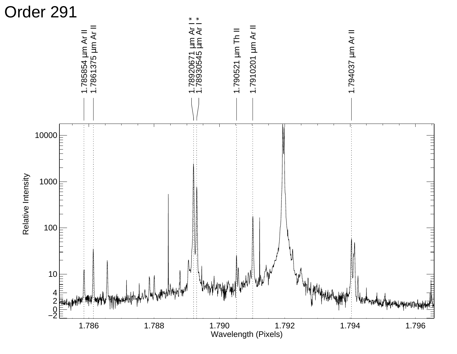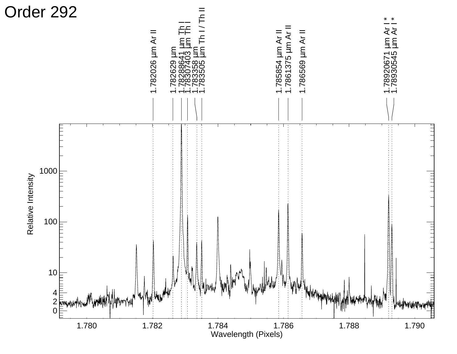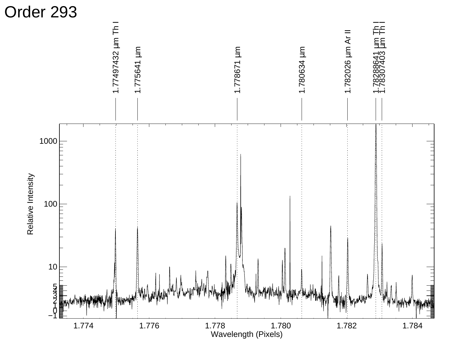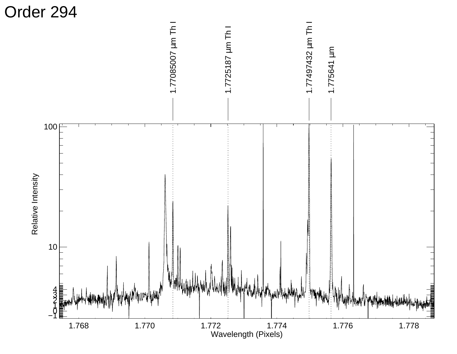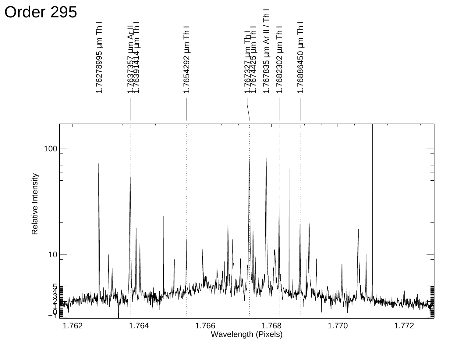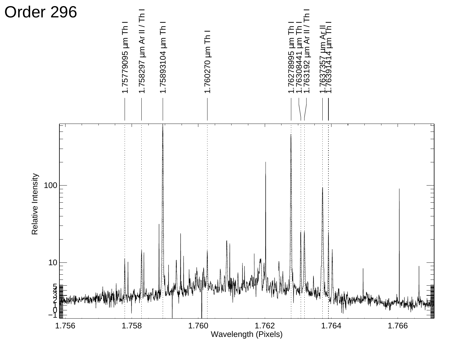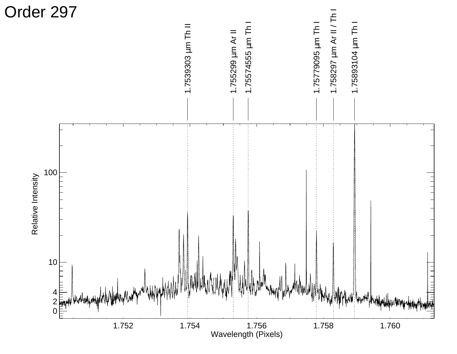![](_page_12_Figure_0.jpeg)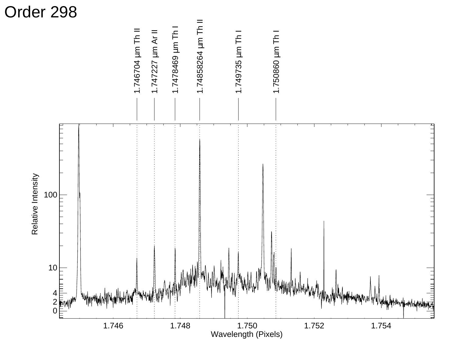![](_page_13_Figure_0.jpeg)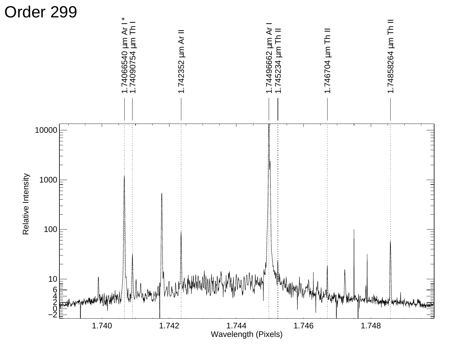![](_page_14_Figure_0.jpeg)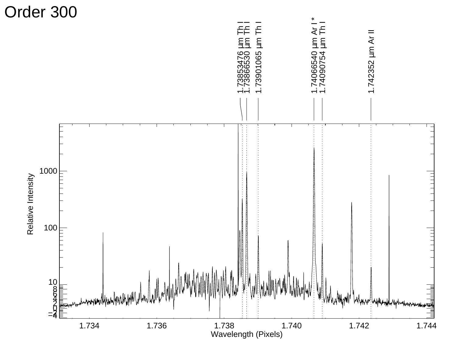![](_page_15_Figure_0.jpeg)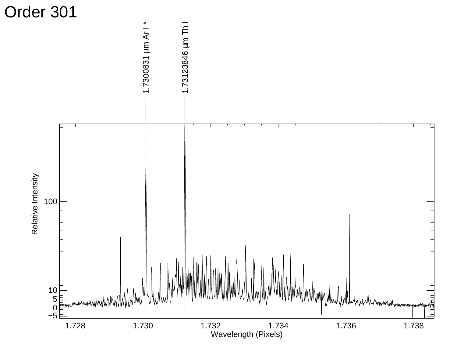![](_page_16_Figure_0.jpeg)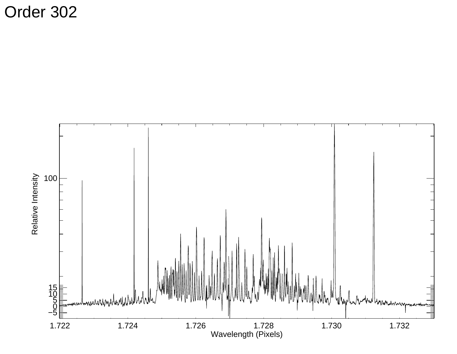![](_page_17_Figure_1.jpeg)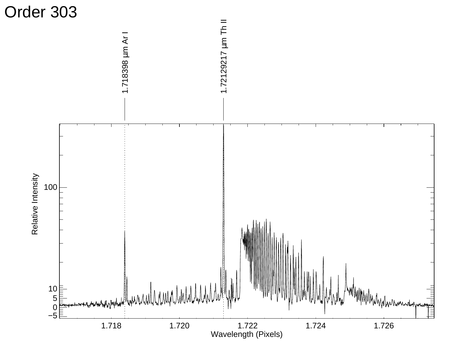![](_page_18_Figure_0.jpeg)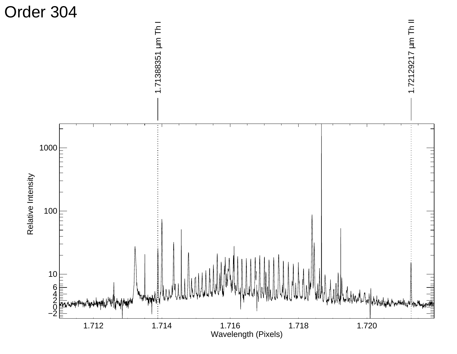![](_page_19_Figure_0.jpeg)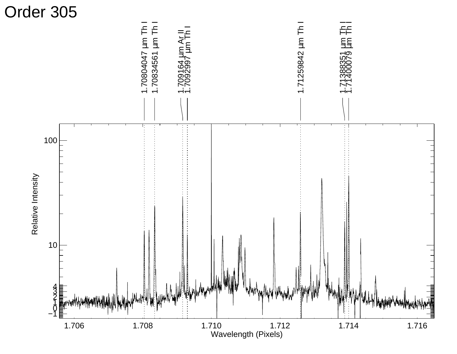![](_page_20_Figure_0.jpeg)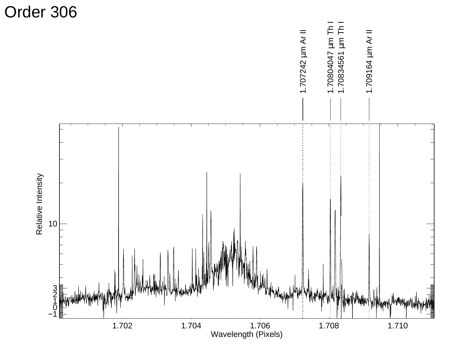![](_page_21_Figure_0.jpeg)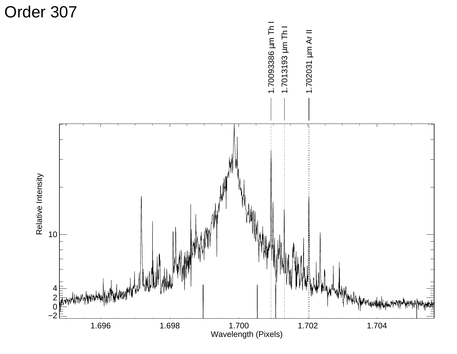![](_page_22_Figure_0.jpeg)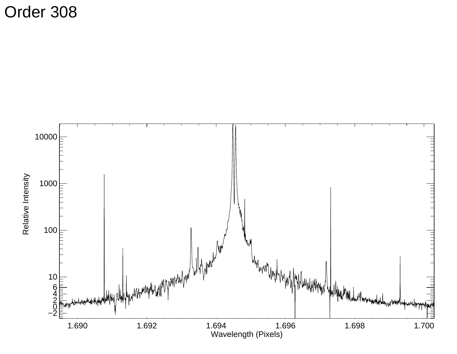![](_page_23_Figure_1.jpeg)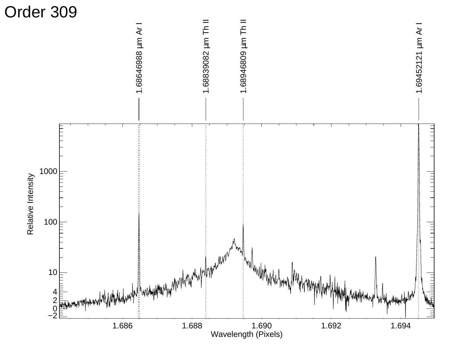![](_page_24_Figure_0.jpeg)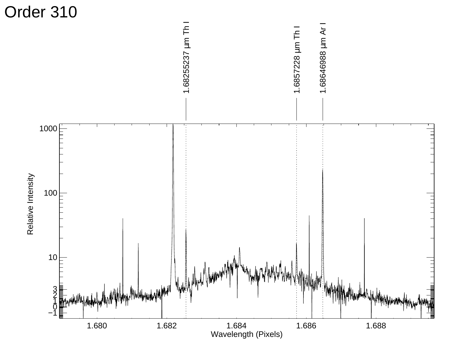![](_page_25_Figure_0.jpeg)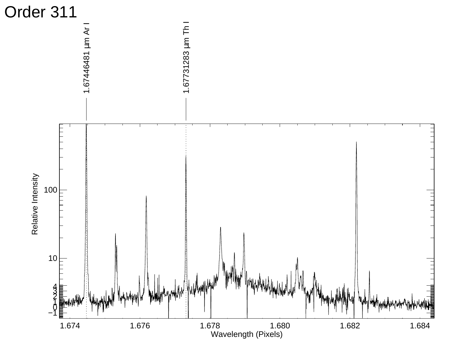![](_page_26_Figure_0.jpeg)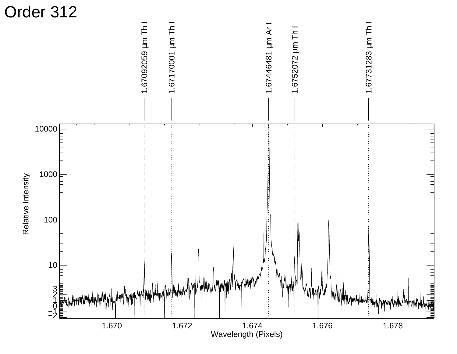![](_page_27_Figure_0.jpeg)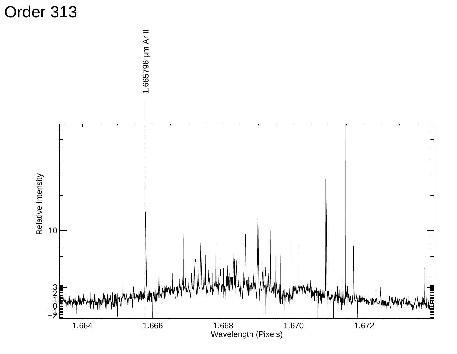![](_page_28_Figure_0.jpeg)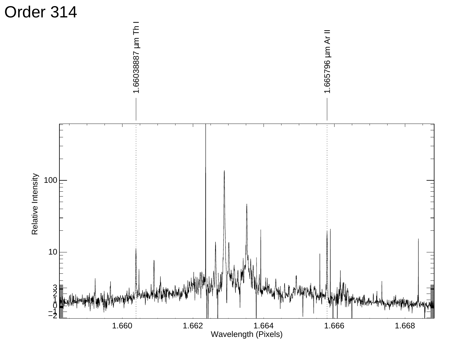![](_page_29_Figure_0.jpeg)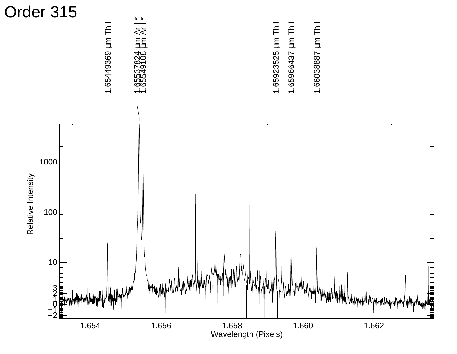![](_page_30_Figure_0.jpeg)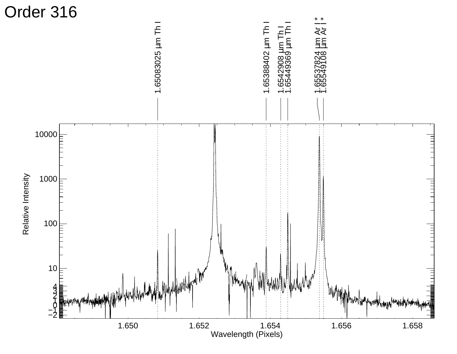![](_page_31_Figure_0.jpeg)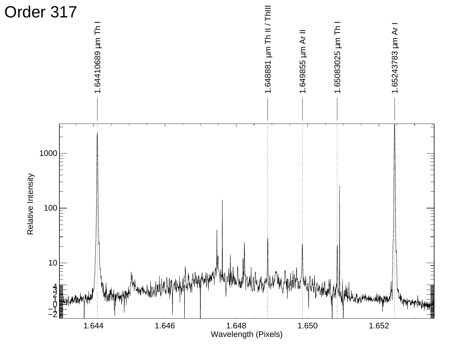![](_page_32_Figure_0.jpeg)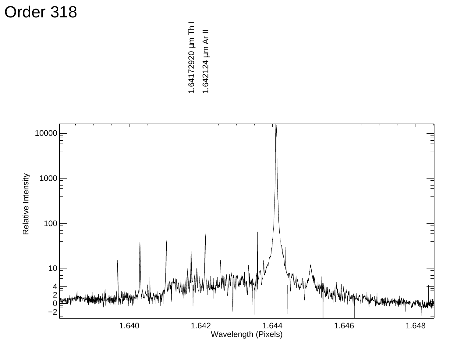![](_page_33_Figure_0.jpeg)